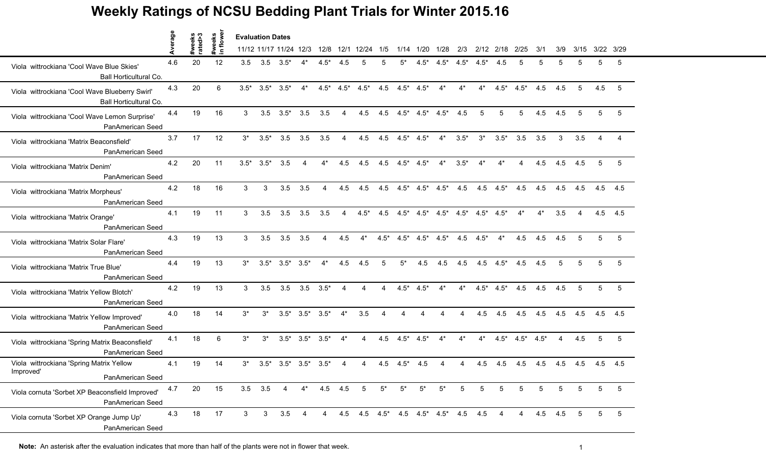## **Weekly Ratings of NCSU Bedding Plant Trials for Winter 2015.16**

|                                                                           | Average |                   |                    | <b>Evaluation Dates</b> |             |                         |                |                |                |                                     |        |        |           |        |        |               |        |        |        |     |      |     |           |
|---------------------------------------------------------------------------|---------|-------------------|--------------------|-------------------------|-------------|-------------------------|----------------|----------------|----------------|-------------------------------------|--------|--------|-----------|--------|--------|---------------|--------|--------|--------|-----|------|-----|-----------|
|                                                                           |         | #weeks<br>rated>3 | #weeks<br>in flowe |                         |             | 11/12 11/17 11/24 12/3  |                | 12/8           |                | 12/1 12/24                          | 1/5    |        | 1/14 1/20 | 1/28   | 2/3    | 2/12          | 2/18   | 2/25   | 3/1    | 3/9 | 3/15 |     | 3/22 3/29 |
| Viola wittrockiana 'Cool Wave Blue Skies'<br>Ball Horticultural Co.       | 4.6     | 20                | 12                 | 3.5                     | 3.5         | $3.5*$                  |                | $4.5*$         | 4.5            |                                     | 5      | 5*     | 4.5*      | $4.5*$ | $4.5*$ | $4.5*$        | 4.5    | 5      |        |     | 5    | 5   | 5         |
| Viola wittrockiana 'Cool Wave Blueberry Swirl'<br>Ball Horticultural Co.  | 4.3     | 20                | 6                  | $3.5*$                  | $3.5*$      | $3.5*$                  | $4^*$          | $4.5*$         | $4.5*$         | $4.5*$                              | 4.5    | $4.5*$ | $4.5*$    | $4^*$  | $4*$   | $4^*$         | $4.5*$ | $4.5*$ | 4.5    | 4.5 | 5    | 4.5 | 5         |
| Viola wittrockiana 'Cool Wave Lemon Surprise'<br>PanAmerican Seed         | 4.4     | 19                | 16                 | 3                       | 3.5         | $3.5*$                  | 3.5            | 3.5            | $\overline{4}$ | 4.5                                 | 4.5    | $4.5*$ | $4.5^*$   | $4.5*$ | 4.5    | 5             | 5      | 5      | 4.5    | 4.5 | 5    | 5   | 5         |
| Viola wittrockiana 'Matrix Beaconsfield'<br>PanAmerican Seed              | 3.7     | 17                | 12                 | $3^*$                   | $3.5*$      | 3.5                     | 3.5            | 3.5            | 4              | 4.5                                 | 4.5    | $4.5*$ | $4.5*$    | $4^*$  | $3.5*$ | $3^*$         | $3.5*$ | 3.5    | 3.5    | 3   | 3.5  |     |           |
| Viola wittrockiana 'Matrix Denim'<br>PanAmerican Seed                     | 4.2     | 20                | 11                 | $3.5*$                  | $3.5*$      | 3.5                     |                |                | 4.5            | 4.5                                 | 4.5    | $4.5*$ | $4.5*$    | $4^*$  | $3.5*$ |               |        |        | 4.5    | 4.5 | 4.5  | 5   | 5         |
| Viola wittrockiana 'Matrix Morpheus'<br>PanAmerican Seed                  | 4.2     | 18                | 16                 | 3                       | 3           | 3.5                     | 3.5            | 4              | 4.5            | 4.5                                 | 4.5    | $4.5*$ | $4.5*$    | $4.5*$ | 4.5    | 4.5           | $4.5*$ | 4.5    | 4.5    | 4.5 | 4.5  | 4.5 | 4.5       |
| Viola wittrockiana 'Matrix Orange'<br>PanAmerican Seed                    | 4.1     | 19                | 11                 | 3                       | 3.5         | 3.5                     | 3.5            | 3.5            | 4              | $4.5*$                              | 4.5    | $4.5*$ | $4.5*$    | $4.5*$ | $4.5*$ | $4.5*$        | $4.5*$ | 4*     | $4^*$  | 3.5 | 4    |     | 4.5 4.5   |
| Viola wittrockiana 'Matrix Solar Flare'<br>PanAmerican Seed               | 4.3     | 19                | 13                 | 3                       | 3.5         | 3.5                     | 3.5            | 4              | 4.5            | $4^*$                               | $4.5*$ | $4.5*$ | $4.5^*$   | $4.5*$ |        | $4.5$ $4.5^*$ | $4^*$  | 4.5    | 4.5    | 4.5 | 5    | 5   | 5         |
| Viola wittrockiana 'Matrix True Blue'<br>PanAmerican Seed                 | 4.4     | 19                | 13                 | $3^*$                   | $3.5*$      | $3.5*$                  | $3.5*$         | $4^*$          | 4.5            | 4.5                                 | 5      | 5*     | 4.5       | 4.5    | 4.5    | 4.5           | $4.5*$ | 4.5    | 4.5    |     |      | 5   | 5         |
| Viola wittrockiana 'Matrix Yellow Blotch'<br>PanAmerican Seed             | 4.2     | 19                | 13                 | 3                       | 3.5         | 3.5                     | 3.5            | $3.5*$         | $\overline{4}$ | 4                                   | 4      | $4.5*$ | $4.5*$    | $4^*$  | $4^*$  | $4.5*$        | $4.5*$ | 4.5    | 4.5    | 4.5 | 5    | 5   | 5         |
| Viola wittrockiana 'Matrix Yellow Improved'<br>PanAmerican Seed           | 4.0     | 18                | 14                 | $3^*$                   | $3^*$       | $3.5^*$ $3.5^*$         |                | $3.5*$         | $4^*$          | 3.5                                 | Δ      | 4      |           |        | 4      | 4.5           | 4.5    | 4.5    | 4.5    | 4.5 | 4.5  |     | 4.5 4.5   |
| Viola wittrockiana 'Spring Matrix Beaconsfield'<br>PanAmerican Seed       | 4.1     | 18                | 6                  | $3^*$                   | $3^*$       | $3.5^*$ $3.5^*$         |                | $3.5*$         | $4^*$          | 4                                   | 4.5    | $4.5*$ | $4.5*$    | $4^*$  | $4*$   | $4^*$         | $4.5*$ | $4.5*$ | $4.5*$ | 4   | 4.5  | 5   | 5         |
| Viola wittrockiana 'Spring Matrix Yellow<br>Improved'<br>PanAmerican Seed | 4.1     | 19                | 14                 | $3^*$                   |             | $3.5^*$ $3.5^*$ $3.5^*$ |                | $3.5^*$        |                |                                     | 4.5    | $4.5*$ | 4.5       |        | 4      | 4.5           | 4.5    | 4.5    | 4.5    | 4.5 | 4.5  |     | 4.5 4.5   |
| Viola cornuta 'Sorbet XP Beaconsfield Improved'<br>PanAmerican Seed       | 4.7     | 20                | 15                 |                         | $3.5$ $3.5$ | 4                       | $4^*$          | 4.5 4.5        |                | 5                                   | $5^*$  | $5^*$  | $5^*$     | $5^*$  | 5      | 5             | 5      | 5      | 5      | 5   | 5    | 5   | 5         |
| Viola cornuta 'Sorbet XP Orange Jump Up'<br>PanAmerican Seed              | 4.3     | 18                | 17                 | 3                       | 3           | 3.5                     | $\overline{4}$ | $\overline{4}$ |                | 4.5 4.5 4.5 4.5 4.5 4.5 4.5 4.5 4.5 |        |        |           |        |        |               |        | 4      | 4.5    | 4.5 | 5    | 5   | 5         |

Note: An asterisk after the evaluation indicates that more than half of the plants were not in flower that week.